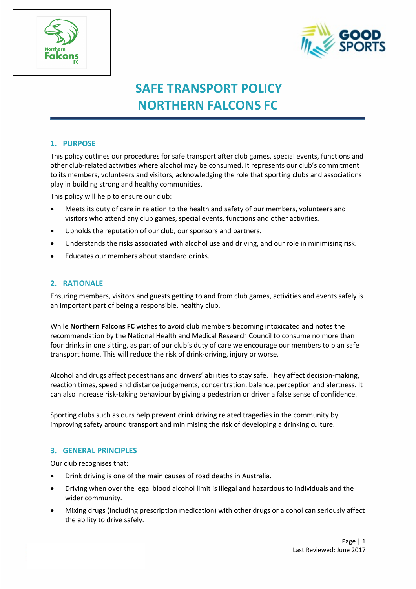



# **SAFE TRANSPORT POLICY NORTHERN FALCONS FC**

# **1. PURPOSE**

This policy outlines our procedures for safe transport after club games, special events, functions and other club-related activities where alcohol may be consumed. It represents our club's commitment to its members, volunteers and visitors, acknowledging the role that sporting clubs and associations play in building strong and healthy communities.

This policy will help to ensure our club:

- Meets its duty of care in relation to the health and safety of our members, volunteers and visitors who attend any club games, special events, functions and other activities.
- Upholds the reputation of our club, our sponsors and partners.
- Understands the risks associated with alcohol use and driving, and our role in minimising risk.
- Educates our members about standard drinks.

#### **2. RATIONALE**

Ensuring members, visitors and guests getting to and from club games, activities and events safely is an important part of being a responsible, healthy club.

While **Northern Falcons FC** wishes to avoid club members becoming intoxicated and notes the recommendation by the National Health and Medical Research Council to consume no more than four drinks in one sitting, as part of our club's duty of care we encourage our members to plan safe transport home. This will reduce the risk of drink-driving, injury or worse.

Alcohol and drugs affect pedestrians and drivers' abilities to stay safe. They affect decision-making, reaction times, speed and distance judgements, concentration, balance, perception and alertness. It can also increase risk-taking behaviour by giving a pedestrian or driver a false sense of confidence.

Sporting clubs such as ours help prevent drink driving related tragedies in the community by improving safety around transport and minimising the risk of developing a drinking culture.

#### **3. GENERAL PRINCIPLES**

Our club recognises that:

- Drink driving is one of the main causes of road deaths in Australia.
- Driving when over the legal blood alcohol limit is illegal and hazardous to individuals and the wider community.
- Mixing drugs (including prescription medication) with other drugs or alcohol can seriously affect the ability to drive safely.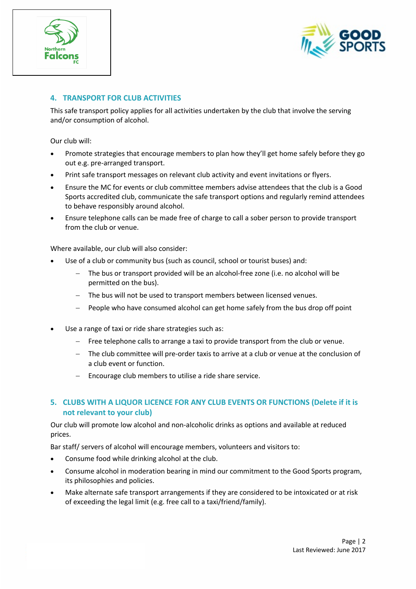



# **4. TRANSPORT FOR CLUB ACTIVITIES**

This safe transport policy applies for all activities undertaken by the club that involve the serving and/or consumption of alcohol.

Our club will:

- Promote strategies that encourage members to plan how they'll get home safely before they go out e.g. pre-arranged transport.
- Print safe transport messages on relevant club activity and event invitations or flyers.
- Ensure the MC for events or club committee members advise attendees that the club is a Good Sports accredited club, communicate the safe transport options and regularly remind attendees to behave responsibly around alcohol.
- Ensure telephone calls can be made free of charge to call a sober person to provide transport from the club or venue.

Where available, our club will also consider:

- Use of a club or community bus (such as council, school or tourist buses) and:
	- The bus or transport provided will be an alcohol-free zone (i.e. no alcohol will be permitted on the bus).
	- The bus will not be used to transport members between licensed venues.
	- People who have consumed alcohol can get home safely from the bus drop off point
- Use a range of taxi or ride share strategies such as:
	- Free telephone calls to arrange a taxi to provide transport from the club or venue.
	- The club committee will pre-order taxis to arrive at a club or venue at the conclusion of a club event or function.
	- Encourage club members to utilise a ride share service.

# **5. CLUBS WITH A LIQUOR LICENCE FOR ANY CLUB EVENTS OR FUNCTIONS (Delete if it is not relevant to your club)**

Our club will promote low alcohol and non-alcoholic drinks as options and available at reduced prices.

Bar staff/ servers of alcohol will encourage members, volunteers and visitors to:

- Consume food while drinking alcohol at the club.
- Consume alcohol in moderation bearing in mind our commitment to the Good Sports program, its philosophies and policies.
- Make alternate safe transport arrangements if they are considered to be intoxicated or at risk of exceeding the legal limit (e.g. free call to a taxi/friend/family).